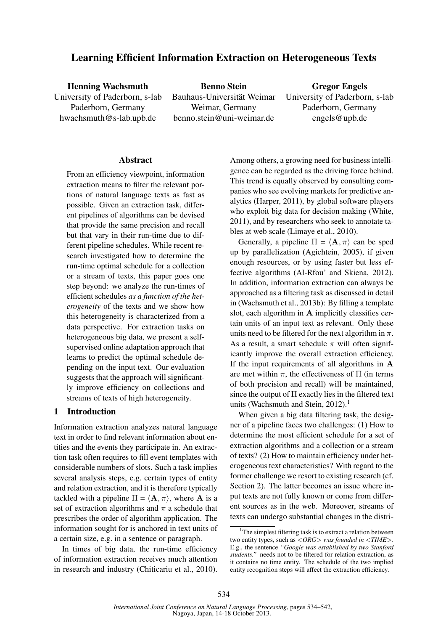# Learning Efficient Information Extraction on Heterogeneous Texts

Henning Wachsmuth University of Paderborn, s-lab Paderborn, Germany hwachsmuth@s-lab.upb.de

Benno Stein Bauhaus-Universität Weimar Weimar, Germany benno.stein@uni-weimar.de

Gregor Engels University of Paderborn, s-lab Paderborn, Germany engels@upb.de

## Abstract

From an efficiency viewpoint, information extraction means to filter the relevant portions of natural language texts as fast as possible. Given an extraction task, different pipelines of algorithms can be devised that provide the same precision and recall but that vary in their run-time due to different pipeline schedules. While recent research investigated how to determine the run-time optimal schedule for a collection or a stream of texts, this paper goes one step beyond: we analyze the run-times of efficient schedules *as a function of the heterogeneity* of the texts and we show how this heterogeneity is characterized from a data perspective. For extraction tasks on heterogeneous big data, we present a selfsupervised online adaptation approach that learns to predict the optimal schedule depending on the input text. Our evaluation suggests that the approach will significantly improve efficiency on collections and streams of texts of high heterogeneity.

## 1 Introduction

Information extraction analyzes natural language text in order to find relevant information about entities and the events they participate in. An extraction task often requires to fill event templates with considerable numbers of slots. Such a task implies several analysis steps, e.g. certain types of entity and relation extraction, and it is therefore typically tackled with a pipeline  $\Pi = \langle \mathbf{A}, \pi \rangle$ , where **A** is a set of extraction algorithms and  $\pi$  a schedule that prescribes the order of algorithm application. The information sought for is anchored in text units of a certain size, e.g. in a sentence or paragraph.

In times of big data, the run-time efficiency of information extraction receives much attention in research and industry (Chiticariu et al., 2010).

Among others, a growing need for business intelligence can be regarded as the driving force behind. This trend is equally observed by consulting companies who see evolving markets for predictive analytics (Harper, 2011), by global software players who exploit big data for decision making (White, 2011), and by researchers who seek to annotate tables at web scale (Limaye et al., 2010).

Generally, a pipeline  $\Pi = \langle \mathbf{A}, \pi \rangle$  can be sped up by parallelization (Agichtein, 2005), if given enough resources, or by using faster but less effective algorithms (Al-Rfou' and Skiena, 2012). In addition, information extraction can always be approached as a filtering task as discussed in detail in (Wachsmuth et al., 2013b): By filling a template slot, each algorithm in A implicitly classifies certain units of an input text as relevant. Only these units need to be filtered for the next algorithm in  $\pi$ . As a result, a smart schedule  $\pi$  will often significantly improve the overall extraction efficiency. If the input requirements of all algorithms in A are met within  $\pi$ , the effectiveness of  $\Pi$  (in terms) of both precision and recall) will be maintained, since the output of Π exactly lies in the filtered text units (Wachsmuth and Stein, 2012).<sup>1</sup>

When given a big data filtering task, the designer of a pipeline faces two challenges: (1) How to determine the most efficient schedule for a set of extraction algorithms and a collection or a stream of texts? (2) How to maintain efficiency under heterogeneous text characteristics? With regard to the former challenge we resort to existing research (cf. Section 2). The latter becomes an issue where input texts are not fully known or come from different sources as in the web. Moreover, streams of texts can undergo substantial changes in the distri-

 $1$ The simplest filtering task is to extract a relation between two entity types, such as <*ORG*> *was founded in* <*TIME*>. E.g., the sentence *"Google was established by two Stanford students."* needs not to be filtered for relation extraction, as it contains no time entity. The schedule of the two implied entity recognition steps will affect the extraction efficiency.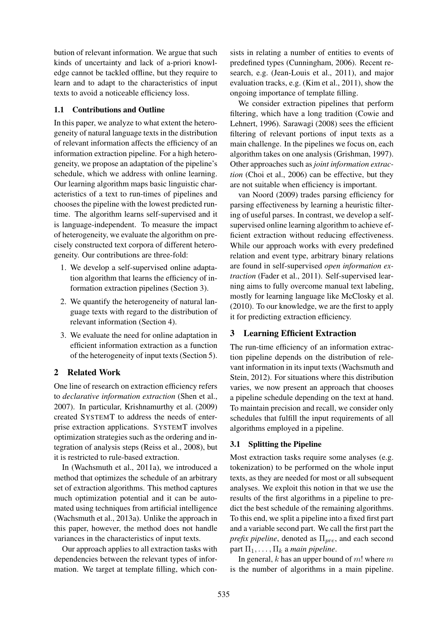bution of relevant information. We argue that such kinds of uncertainty and lack of a-priori knowledge cannot be tackled offline, but they require to learn and to adapt to the characteristics of input texts to avoid a noticeable efficiency loss.

## 1.1 Contributions and Outline

In this paper, we analyze to what extent the heterogeneity of natural language texts in the distribution of relevant information affects the efficiency of an information extraction pipeline. For a high heterogeneity, we propose an adaptation of the pipeline's schedule, which we address with online learning. Our learning algorithm maps basic linguistic characteristics of a text to run-times of pipelines and chooses the pipeline with the lowest predicted runtime. The algorithm learns self-supervised and it is language-independent. To measure the impact of heterogeneity, we evaluate the algorithm on precisely constructed text corpora of different heterogeneity. Our contributions are three-fold:

- 1. We develop a self-supervised online adaptation algorithm that learns the efficiency of information extraction pipelines (Section 3).
- 2. We quantify the heterogeneity of natural language texts with regard to the distribution of relevant information (Section 4).
- 3. We evaluate the need for online adaptation in efficient information extraction as a function of the heterogeneity of input texts (Section 5).

## 2 Related Work

One line of research on extraction efficiency refers to *declarative information extraction* (Shen et al., 2007). In particular, Krishnamurthy et al. (2009) created SYSTEMT to address the needs of enterprise extraction applications. SYSTEMT involves optimization strategies such as the ordering and integration of analysis steps (Reiss et al., 2008), but it is restricted to rule-based extraction.

In (Wachsmuth et al., 2011a), we introduced a method that optimizes the schedule of an arbitrary set of extraction algorithms. This method captures much optimization potential and it can be automated using techniques from artificial intelligence (Wachsmuth et al., 2013a). Unlike the approach in this paper, however, the method does not handle variances in the characteristics of input texts.

Our approach applies to all extraction tasks with dependencies between the relevant types of information. We target at template filling, which consists in relating a number of entities to events of predefined types (Cunningham, 2006). Recent research, e.g. (Jean-Louis et al., 2011), and major evaluation tracks, e.g. (Kim et al., 2011), show the ongoing importance of template filling.

We consider extraction pipelines that perform filtering, which have a long tradition (Cowie and Lehnert, 1996). Sarawagi (2008) sees the efficient filtering of relevant portions of input texts as a main challenge. In the pipelines we focus on, each algorithm takes on one analysis (Grishman, 1997). Other approaches such as *joint information extraction* (Choi et al., 2006) can be effective, but they are not suitable when efficiency is important.

van Noord (2009) trades parsing efficiency for parsing effectiveness by learning a heuristic filtering of useful parses. In contrast, we develop a selfsupervised online learning algorithm to achieve efficient extraction without reducing effectiveness. While our approach works with every predefined relation and event type, arbitrary binary relations are found in self-supervised *open information extraction* (Fader et al., 2011). Self-supervised learning aims to fully overcome manual text labeling, mostly for learning language like McClosky et al. (2010). To our knowledge, we are the first to apply it for predicting extraction efficiency.

## 3 Learning Efficient Extraction

The run-time efficiency of an information extraction pipeline depends on the distribution of relevant information in its input texts (Wachsmuth and Stein, 2012). For situations where this distribution varies, we now present an approach that chooses a pipeline schedule depending on the text at hand. To maintain precision and recall, we consider only schedules that fulfill the input requirements of all algorithms employed in a pipeline.

## 3.1 Splitting the Pipeline

Most extraction tasks require some analyses (e.g. tokenization) to be performed on the whole input texts, as they are needed for most or all subsequent analyses. We exploit this notion in that we use the results of the first algorithms in a pipeline to predict the best schedule of the remaining algorithms. To this end, we split a pipeline into a fixed first part and a variable second part. We call the first part the *prefix pipeline*, denoted as  $\Pi_{pre}$ , and each second part  $\Pi_1, \ldots, \Pi_k$  a *main pipeline*.

In general,  $k$  has an upper bound of  $m!$  where  $m$ is the number of algorithms in a main pipeline.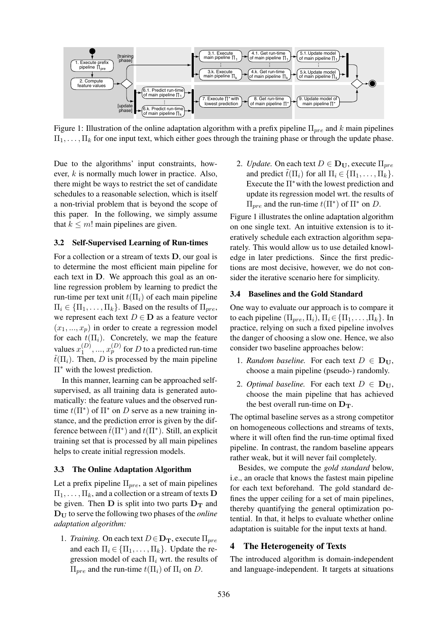

Figure 1: Illustration of the online adaptation algorithm with a prefix pipeline  $\Pi_{pre}$  and k main pipelines  $\Pi_1, \ldots, \Pi_k$  for one input text, which either goes through the training phase or through the update phase.

Due to the algorithms' input constraints, however, k is normally much lower in practice. Also, there might be ways to restrict the set of candidate schedules to a reasonable selection, which is itself a non-trivial problem that is beyond the scope of this paper. In the following, we simply assume that  $k \leq m!$  main pipelines are given.

## 3.2 Self-Supervised Learning of Run-times

For a collection or a stream of texts D, our goal is to determine the most efficient main pipeline for each text in D. We approach this goal as an online regression problem by learning to predict the run-time per text unit  $t(\Pi_i)$  of each main pipeline  $\Pi_i \in \{\Pi_1, \ldots, \Pi_k\}$ . Based on the results of  $\Pi_{pre}$ , we represent each text  $D \in \mathbf{D}$  as a feature vector  $(x_1, ..., x_p)$  in order to create a regression model for each  $t(\Pi_i)$ . Concretely, we map the feature values  $x_1^{(D)}$  $\binom{D}{1},...,\binom{D}{p}$  for  $D$  to a predicted run-time  $\tilde{t}(\Pi_i)$ . Then, D is processed by the main pipeline Π<sup>∗</sup> with the lowest prediction.

In this manner, learning can be approached selfsupervised, as all training data is generated automatically: the feature values and the observed runtime  $t(\Pi^*)$  of  $\Pi^*$  on D serve as a new training instance, and the prediction error is given by the difference between  $\tilde{t}(\Pi^*)$  and  $t(\Pi^*)$ . Still, an explicit training set that is processed by all main pipelines helps to create initial regression models.

#### 3.3 The Online Adaptation Algorithm

Let a prefix pipeline  $\Pi_{pre}$ , a set of main pipelines  $\Pi_1, \ldots, \Pi_k$ , and a collection or a stream of texts **D** be given. Then  $D$  is split into two parts  $D_T$  and  $D_{U}$  to serve the following two phases of the *online adaptation algorithm:*

1. *Training.* On each text  $D \in \mathbf{D_T}$ , execute  $\Pi_{pre}$ and each  $\Pi_i \in \{\Pi_1, \ldots, \Pi_k\}$ . Update the regression model of each  $\Pi_i$  wrt. the results of  $\Pi_{pre}$  and the run-time  $t(\Pi_i)$  of  $\Pi_i$  on D.

2. *Update.* On each text  $D \in \mathbf{D_U}$ , execute  $\Pi_{pre}$ and predict  $t(\Pi_i)$  for all  $\Pi_i \in {\Pi_1, \ldots, \Pi_k}$ . Execute the  $\Pi^*$  with the lowest prediction and update its regression model wrt. the results of  $\Pi_{pre}$  and the run-time  $t(\Pi^*)$  of  $\Pi^*$  on D.

Figure 1 illustrates the online adaptation algorithm on one single text. An intuitive extension is to iteratively schedule each extraction algorithm separately. This would allow us to use detailed knowledge in later predictions. Since the first predictions are most decisive, however, we do not consider the iterative scenario here for simplicity.

#### 3.4 Baselines and the Gold Standard

One way to evaluate our approach is to compare it to each pipeline  $(\Pi_{pre}, \Pi_i), \Pi_i \in {\Pi_1, \ldots, \Pi_k}$ . In practice, relying on such a fixed pipeline involves the danger of choosing a slow one. Hence, we also consider two baseline approaches below:

- 1. *Random baseline.* For each text  $D \in D_U$ , choose a main pipeline (pseudo-) randomly.
- 2. *Optimal baseline.* For each text  $D \in D_{U}$ , choose the main pipeline that has achieved the best overall run-time on  $D_T$ .

The optimal baseline serves as a strong competitor on homogeneous collections and streams of texts, where it will often find the run-time optimal fixed pipeline. In contrast, the random baseline appears rather weak, but it will never fail completely.

Besides, we compute the *gold standard* below, i.e., an oracle that knows the fastest main pipeline for each text beforehand. The gold standard defines the upper ceiling for a set of main pipelines, thereby quantifying the general optimization potential. In that, it helps to evaluate whether online adaptation is suitable for the input texts at hand.

### 4 The Heterogeneity of Texts

The introduced algorithm is domain-independent and language-independent. It targets at situations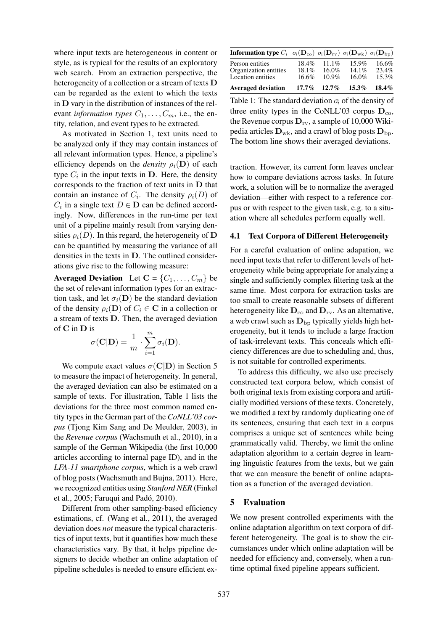where input texts are heterogeneous in content or style, as is typical for the results of an exploratory web search. From an extraction perspective, the heterogeneity of a collection or a stream of texts D can be regarded as the extent to which the texts in D vary in the distribution of instances of the relevant *information types*  $C_1, \ldots, C_m$ , i.e., the entity, relation, and event types to be extracted.

As motivated in Section 1, text units need to be analyzed only if they may contain instances of all relevant information types. Hence, a pipeline's efficiency depends on the *density*  $\rho_i(\mathbf{D})$  of each type  $C_i$  in the input texts in  $D$ . Here, the density corresponds to the fraction of text units in D that contain an instance of  $C_i$ . The density  $\rho_i(D)$  of  $C_i$  in a single text  $D \in \mathbf{D}$  can be defined accordingly. Now, differences in the run-time per text unit of a pipeline mainly result from varying densities  $\rho_i(D)$ . In this regard, the heterogeneity of D can be quantified by measuring the variance of all densities in the texts in D. The outlined considerations give rise to the following measure:

Averaged Deviation Let  $C = \{C_1, \ldots, C_m\}$  be the set of relevant information types for an extraction task, and let  $\sigma_i(\mathbf{D})$  be the standard deviation of the density  $\rho_i(\mathbf{D})$  of  $C_i \in \mathbf{C}$  in a collection or a stream of texts D. Then, the averaged deviation of C in D is

$$
\sigma(\mathbf{C}|\mathbf{D}) = \frac{1}{m} \cdot \sum_{i=1}^{m} \sigma_i(\mathbf{D}).
$$

We compute exact values  $\sigma(C|D)$  in Section 5 to measure the impact of heterogeneity. In general, the averaged deviation can also be estimated on a sample of texts. For illustration, Table 1 lists the deviations for the three most common named entity types in the German part of the *CoNLL'03 corpus* (Tjong Kim Sang and De Meulder, 2003), in the *Revenue corpus* (Wachsmuth et al., 2010), in a sample of the German Wikipedia (the first 10,000 articles according to internal page ID), and in the *LFA-11 smartphone corpus*, which is a web crawl of blog posts (Wachsmuth and Bujna, 2011). Here, we recognized entities using *Stanford NER* (Finkel et al., 2005; Faruqui and Pado, 2010). ´

Different from other sampling-based efficiency estimations, cf. (Wang et al., 2011), the averaged deviation does *not* measure the typical characteristics of input texts, but it quantifies how much these characteristics vary. By that, it helps pipeline designers to decide whether an online adaptation of pipeline schedules is needed to ensure efficient ex-

| <b>Information type</b> $C_i$ $\sigma_i(\mathbf{D}_{\text{co}})$ $\sigma_i(\mathbf{D}_{\text{rv}})$ $\sigma_i(\mathbf{D}_{\text{wk}})$ $\sigma_i(\mathbf{D}_{\text{bp}})$ |                   |                      |          |          |
|---------------------------------------------------------------------------------------------------------------------------------------------------------------------------|-------------------|----------------------|----------|----------|
| Person entities                                                                                                                                                           | $18.4\%$          | 11.1%                | $15.9\%$ | 16.6%    |
| Organization entities                                                                                                                                                     | $18.1\%$<br>16.6% | $16.0\%$<br>$10.9\%$ | $14.1\%$ | 23.4%    |
| Location entities                                                                                                                                                         |                   |                      | $16.0\%$ | 15.3%    |
| <b>Averaged deviation</b>                                                                                                                                                 | $17.7\%$          | $12.7\%$             | $15.3\%$ | $18.4\%$ |

Table 1: The standard deviation  $\sigma_i$  of the density of three entity types in the CoNLL'03 corpus  $D_{\text{co}}$ , the Revenue corpus  $D_{rv}$ , a sample of 10,000 Wikipedia articles  $\mathbf{D}_{w_k}$ , and a crawl of blog posts  $\mathbf{D}_{bv}$ . The bottom line shows their averaged deviations.

traction. However, its current form leaves unclear how to compare deviations across tasks. In future work, a solution will be to normalize the averaged deviation—either with respect to a reference corpus or with respect to the given task, e.g. to a situation where all schedules perform equally well.

## 4.1 Text Corpora of Different Heterogeneity

For a careful evaluation of online adapation, we need input texts that refer to different levels of heterogeneity while being appropriate for analyzing a single and sufficiently complex filtering task at the same time. Most corpora for extraction tasks are too small to create reasonable subsets of different heterogeneity like  $D_{\rm co}$  and  $D_{\rm rv}$ . As an alternative, a web crawl such as  $D_{\rm bp}$  typically yields high heterogeneity, but it tends to include a large fraction of task-irrelevant texts. This conceals which efficiency differences are due to scheduling and, thus, is not suitable for controlled experiments.

To address this difficulty, we also use precisely constructed text corpora below, which consist of both original texts from existing corpora and artificially modified versions of these texts. Concretely, we modified a text by randomly duplicating one of its sentences, ensuring that each text in a corpus comprises a unique set of sentences while being grammatically valid. Thereby, we limit the online adaptation algorithm to a certain degree in learning linguistic features from the texts, but we gain that we can measure the benefit of online adaptation as a function of the averaged deviation.

## 5 Evaluation

We now present controlled experiments with the online adaptation algorithm on text corpora of different heterogeneity. The goal is to show the circumstances under which online adaptation will be needed for efficiency and, conversely, when a runtime optimal fixed pipeline appears sufficient.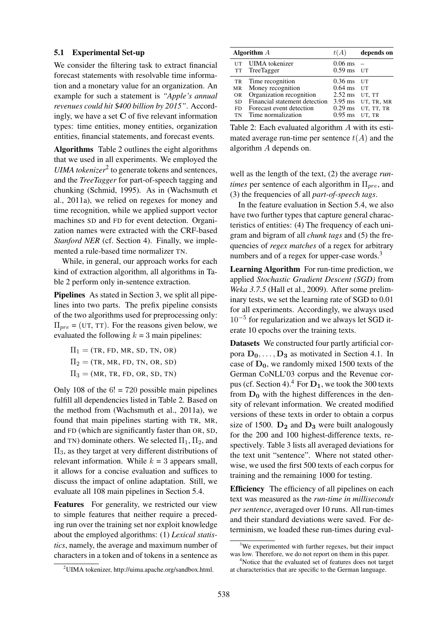### 5.1 Experimental Set-up

We consider the filtering task to extract financial forecast statements with resolvable time information and a monetary value for an organization. An example for such a statement is *"Apple's annual revenues could hit* \$*400 billion by 2015"*. Accordingly, we have a set  $C$  of five relevant information types: time entities, money entities, organization entities, financial statements, and forecast events.

Algorithms Table 2 outlines the eight algorithms that we used in all experiments. We employed the UIMA tokenizer<sup>2</sup> to generate tokens and sentences, and the *TreeTagger* for part-of-speech tagging and chunking (Schmid, 1995). As in (Wachsmuth et al., 2011a), we relied on regexes for money and time recognition, while we applied support vector machines SD and FD for event detection. Organization names were extracted with the CRF-based *Stanford NER* (cf. Section 4). Finally, we implemented a rule-based time normalizer TN.

While, in general, our approach works for each kind of extraction algorithm, all algorithms in Table 2 perform only in-sentence extraction.

Pipelines As stated in Section 3, we split all pipelines into two parts. The prefix pipeline consists of the two algorithms used for preprocessing only:  $\Pi_{\text{pre}} = (\text{UT}, \text{TT})$ . For the reasons given below, we evaluated the following  $k = 3$  main pipelines:

 $\Pi_1 = (TR, FD, MR, SD, TN, OR)$  $\Pi_2$  = (TR, MR, FD, TN, OR, SD)  $\Pi_3 = (MR, TR, FD, OR, SD, TN)$ 

Only 108 of the  $6! = 720$  possible main pipelines fulfill all dependencies listed in Table 2. Based on the method from (Wachsmuth et al., 2011a), we found that main pipelines starting with TR, MR, and FD (which are significantly faster than OR, SD, and TN) dominate others. We selected  $\Pi_1$ ,  $\Pi_2$ , and  $\Pi_3$ , as they target at very different distributions of relevant information. While  $k = 3$  appears small, it allows for a concise evaluation and suffices to discuss the impact of online adaptation. Still, we evaluate all 108 main pipelines in Section 5.4.

Features For generality, we restricted our view to simple features that neither require a preceding run over the training set nor exploit knowledge about the employed algorithms: (1) *Lexical statistics*, namely, the average and maximum number of characters in a token and of tokens in a sentence as

| <sup>2</sup> UIMA tokenizer, http://uima.apache.org/sandbox.html. |  |  |
|-------------------------------------------------------------------|--|--|
|-------------------------------------------------------------------|--|--|

|                                           | Algorithm $A$                                                                                                                                        | t(A)                                                        | depends on                                           |
|-------------------------------------------|------------------------------------------------------------------------------------------------------------------------------------------------------|-------------------------------------------------------------|------------------------------------------------------|
|                                           | UT UIMA tokenizer<br>TT TreeTagger                                                                                                                   | $0.06 \text{ ms}$ –<br>$0.59$ ms UT                         |                                                      |
| TR<br>MR<br><b>OR</b><br>SD.<br>FD.<br>TN | Time recognition<br>Money recognition<br>Organization recognition<br>Financial statement detection<br>Forecast event detection<br>Time normalization | $0.36$ ms UT<br>$0.64$ ms UT<br>2.52 ms UT, TT<br>$0.95$ ms | 3.95 ms UT, TR, MR<br>$0.29$ ms UT, TT, TR<br>UT, TR |

Table 2: Each evaluated algorithm A with its estimated average run-time per sentence  $t(A)$  and the algorithm A depends on.

well as the length of the text, (2) the average *runtimes* per sentence of each algorithm in  $\Pi_{pre}$ , and (3) the frequencies of all *part-of-speech tags*.

In the feature evaluation in Section 5.4, we also have two further types that capture general characteristics of entities: (4) The frequency of each unigram and bigram of all *chunk tags* and (5) the frequencies of *regex matches* of a regex for arbitrary numbers and of a regex for upper-case words. $3$ 

Learning Algorithm For run-time prediction, we applied *Stochastic Gradient Descent (SGD)* from *Weka 3.7.5* (Hall et al., 2009). After some preliminary tests, we set the learning rate of SGD to 0.01 for all experiments. Accordingly, we always used 10−<sup>5</sup> for regularization and we always let SGD iterate 10 epochs over the training texts.

Datasets We constructed four partly artificial corpora  $D_0, \ldots, D_3$  as motivated in Section 4.1. In case of  $D_0$ , we randomly mixed 1500 texts of the German CoNLL'03 corpus and the Revenue corpus (cf. Section 4).<sup>4</sup> For  $D_1$ , we took the 300 texts from  $D_0$  with the highest differences in the density of relevant information. We created modified versions of these texts in order to obtain a corpus size of 1500.  $D_2$  and  $D_3$  were built analogously for the 200 and 100 highest-difference texts, respectively. Table 3 lists all averaged deviations for the text unit "sentence". Where not stated otherwise, we used the first 500 texts of each corpus for training and the remaining 1000 for testing.

Efficiency The efficiency of all pipelines on each text was measured as the *run-time in milliseconds per sentence*, averaged over 10 runs. All run-times and their standard deviations were saved. For determinism, we loaded these run-times during eval-

 $3$ We experimented with further regexes, but their impact was low. Therefore, we do not report on them in this paper.

<sup>&</sup>lt;sup>4</sup>Notice that the evaluated set of features does not target at characteristics that are specific to the German language.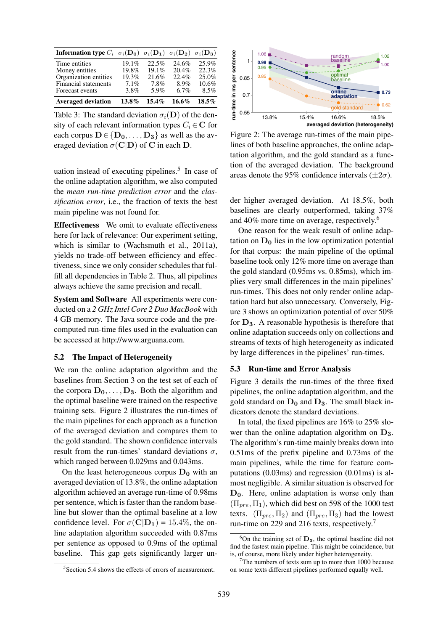| <b>Information type</b> $C_i$ $\sigma_i(\mathbf{D_0})$ $\sigma_i(\mathbf{D_1})$ $\sigma_i(\mathbf{D_2})$ $\sigma_i(\mathbf{D_3})$ |          |          |          |          |
|-----------------------------------------------------------------------------------------------------------------------------------|----------|----------|----------|----------|
| Time entities                                                                                                                     | 19.1%    | 22.5%    | 24.6%    | 25.9%    |
| Money entities                                                                                                                    | 19.8%    | 19.1%    | 20.4%    | 22.3%    |
| Organization entities                                                                                                             | 19.3%    | 21.6%    | 22.4%    | 25.0%    |
| Financial statements                                                                                                              | 7.1%     | 7.8%     | 8.9%     | 10.6%    |
| Forecast events                                                                                                                   | 3.8%     | 5.9%     | 6.7%     | 8.5%     |
| <b>Averaged deviation</b>                                                                                                         | $13.8\%$ | $15.4\%$ | $16.6\%$ | $18.5\%$ |

Table 3: The standard deviation  $\sigma_i(\mathbf{D})$  of the density of each relevant information types  $C_i \in \mathbb{C}$  for each corpus  $D \in \{D_0, \ldots, D_3\}$  as well as the averaged deviation  $\sigma(C|D)$  of C in each D.

uation instead of executing pipelines. $5$  In case of the online adaptation algorithm, we also computed the *mean run-time prediction error* and the *classification error*, i.e., the fraction of texts the best main pipeline was not found for.

Effectiveness We omit to evaluate effectiveness here for lack of relevance: Our experiment setting, which is similar to (Wachsmuth et al., 2011a), yields no trade-off between efficiency and effectiveness, since we only consider schedules that fulfill all dependencies in Table 2. Thus, all pipelines always achieve the same precision and recall.

System and Software All experiments were conducted on a *2 GHz Intel Core 2 Duo MacBook* with 4 GB memory. The Java source code and the precomputed run-time files used in the evaluation can be accessed at http://www.arguana.com.

## 5.2 The Impact of Heterogeneity

We ran the online adaptation algorithm and the baselines from Section 3 on the test set of each of the corpora  $D_0, \ldots, D_3$ . Both the algorithm and the optimal baseline were trained on the respective training sets. Figure 2 illustrates the run-times of the main pipelines for each approach as a function of the averaged deviation and compares them to the gold standard. The shown confidence intervals result from the run-times' standard deviations  $\sigma$ , which ranged between 0.029ms and 0.043ms.

On the least heterogeneous corpus  $D_0$  with an averaged deviation of 13.8%, the online adaptation algorithm achieved an average run-time of 0.98ms per sentence, which is faster than the random baseline but slower than the optimal baseline at a low confidence level. For  $\sigma(C|D_1) = 15.4\%$ , the online adaptation algorithm succeeded with 0.87ms per sentence as opposed to 0.9ms of the optimal baseline. This gap gets significantly larger un-



Figure 2: The average run-times of the main pipelines of both baseline approaches, the online adaptation algorithm, and the gold standard as a function of the averaged deviation. The background areas denote the 95% confidence intervals  $(\pm 2\sigma)$ .

der higher averaged deviation. At 18.5%, both baselines are clearly outperformed, taking 37% and 40% more time on average, respectively.<sup>6</sup>

One reason for the weak result of online adaptation on  $D_0$  lies in the low optimization potential for that corpus: the main pipeline of the optimal baseline took only 12% more time on average than the gold standard (0.95ms vs. 0.85ms), which implies very small differences in the main pipelines' run-times. This does not only render online adaptation hard but also unnecessary. Conversely, Figure 3 shows an optimization potential of over 50% for  $D_3$ . A reasonable hypothesis is therefore that online adaptation succeeds only on collections and streams of texts of high heterogeneity as indicated by large differences in the pipelines' run-times.

### 5.3 Run-time and Error Analysis

Figure 3 details the run-times of the three fixed pipelines, the online adaptation algorithm, and the gold standard on  $D_0$  and  $D_3$ . The small black indicators denote the standard deviations.

In total, the fixed pipelines are 16% to 25% slower than the online adaptation algorithm on  $D_3$ . The algorithm's run-time mainly breaks down into 0.51ms of the prefix pipeline and 0.73ms of the main pipelines, while the time for feature computations (0.03ms) and regression (0.01ms) is almost negligible. A similar situation is observed for  $D_0$ . Here, online adaptation is worse only than  $(\Pi_{pre}, \Pi_1)$ , which did best on 598 of the 1000 test texts.  $(\Pi_{pre}, \Pi_2)$  and  $(\Pi_{pre}, \Pi_3)$  had the lowest run-time on 229 and 216 texts, respectively.<sup>7</sup>

 ${}^{6}$ On the training set of  $D_3$ , the optimal baseline did not find the fastest main pipeline. This might be coincidence, but is, of course, more likely under higher heterogeneity.

<sup>&</sup>lt;sup>5</sup>Section 5.4 shows the effects of errors of measurement.

 $7$ The numbers of texts sum up to more than 1000 because on some texts different pipelines performed equally well.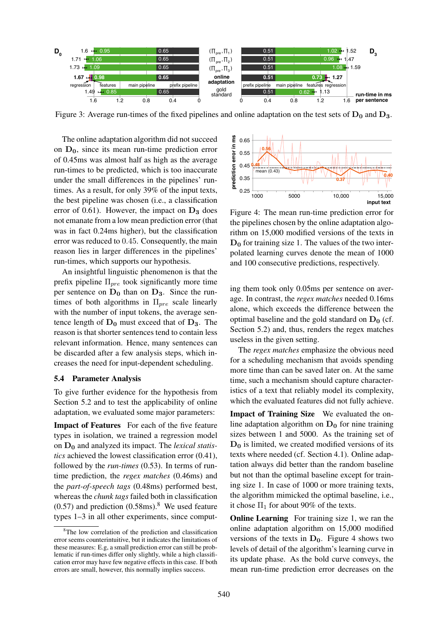

Figure 3: Average run-times of the fixed pipelines and online adaptation on the test sets of  $D_0$  and  $D_3$ .

The online adaptation algorithm did not succeed on  $D_0$ , since its mean run-time prediction error of 0.45ms was almost half as high as the average run-times to be predicted, which is too inaccurate under the small differences in the pipelines' runtimes. As a result, for only 39% of the input texts, the best pipeline was chosen (i.e., a classification error of 0.61). However, the impact on  $D_3$  does not emanate from a low mean prediction error (that was in fact 0.24ms higher), but the classification error was reduced to 0.45. Consequently, the main reason lies in larger differences in the pipelines' run-times, which supports our hypothesis.

An insightful linguistic phenomenon is that the prefix pipeline  $\Pi_{pre}$  took significantly more time per sentence on  $D_0$  than on  $D_3$ . Since the runtimes of both algorithms in  $\Pi_{pre}$  scale linearly with the number of input tokens, the average sentence length of  $D_0$  must exceed that of  $D_3$ . The reason is that shorter sentences tend to contain less relevant information. Hence, many sentences can be discarded after a few analysis steps, which increases the need for input-dependent scheduling.

#### 5.4 Parameter Analysis

To give further evidence for the hypothesis from Section 5.2 and to test the applicability of online adaptation, we evaluated some major parameters:

Impact of Features For each of the five feature types in isolation, we trained a regression model on D<sup>0</sup> and analyzed its impact. The *lexical statistics* achieved the lowest classification error (0.41), followed by the *run-times* (0.53). In terms of runtime prediction, the *regex matches* (0.46ms) and the *part-of-speech tags* (0.48ms) performed best, whereas the *chunk tags* failed both in classification  $(0.57)$  and prediction  $(0.58 \text{ms})$ .<sup>8</sup> We used feature types 1–3 in all other experiments, since comput-



Figure 4: The mean run-time prediction error for the pipelines chosen by the online adaptation algorithm on 15,000 modified versions of the texts in  $D_0$  for training size 1. The values of the two interpolated learning curves denote the mean of 1000 and 100 consecutive predictions, respectively.

ing them took only 0.05ms per sentence on average. In contrast, the *regex matches* needed 0.16ms alone, which exceeds the difference between the optimal baseline and the gold standard on  $D_0$  (cf. Section 5.2) and, thus, renders the regex matches useless in the given setting.

The *regex matches* emphasize the obvious need for a scheduling mechanism that avoids spending more time than can be saved later on. At the same time, such a mechanism should capture characteristics of a text that reliably model its complexity, which the evaluated features did not fully achieve.

Impact of Training Size We evaluated the online adaptation algorithm on  $D_0$  for nine training sizes between 1 and 5000. As the training set of  $D_0$  is limited, we created modified versions of its texts where needed (cf. Section 4.1). Online adaptation always did better than the random baseline but not than the optimal baseline except for training size 1. In case of 1000 or more training texts, the algorithm mimicked the optimal baseline, i.e., it chose  $\Pi_1$  for about 90% of the texts.

**Online Learning** For training size 1, we ran the online adaptation algorithm on 15,000 modified versions of the texts in  $D_0$ . Figure 4 shows two levels of detail of the algorithm's learning curve in its update phase. As the bold curve conveys, the mean run-time prediction error decreases on the

<sup>8</sup>The low correlation of the prediction and classification error seems counterintuitive, but it indicates the limitations of these measures: E.g, a small prediction error can still be problematic if run-times differ only slightly, while a high classification error may have few negative effects in this case. If both errors are small, however, this normally implies success.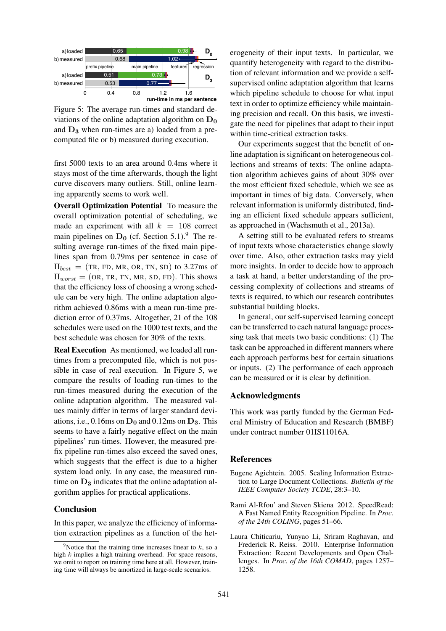

Figure 5: The average run-times and standard deviations of the online adaptation algorithm on  $D_0$ and  $D_3$  when run-times are a) loaded from a precomputed file or b) measured during execution.

first 5000 texts to an area around 0.4ms where it stays most of the time afterwards, though the light curve discovers many outliers. Still, online learning apparently seems to work well.

Overall Optimization Potential To measure the overall optimization potential of scheduling, we made an experiment with all  $k = 108$  correct main pipelines on  $D_0$  (cf. Section 5.1).<sup>9</sup> The resulting average run-times of the fixed main pipelines span from 0.79ms per sentence in case of  $\Pi_{best}$  = (TR, FD, MR, OR, TN, SD) to 3.27ms of  $\Pi_{worst} = (OR, TR, TN, MR, SD, FD)$ . This shows that the efficiency loss of choosing a wrong schedule can be very high. The online adaptation algorithm achieved 0.86ms with a mean run-time prediction error of 0.37ms. Altogether, 21 of the 108 schedules were used on the 1000 test texts, and the best schedule was chosen for 30% of the texts.

Real Execution As mentioned, we loaded all runtimes from a precomputed file, which is not possible in case of real execution. In Figure 5, we compare the results of loading run-times to the run-times measured during the execution of the online adaptation algorithm. The measured values mainly differ in terms of larger standard deviations, i.e.,  $0.16$ ms on  $D_0$  and  $0.12$ ms on  $D_3$ . This seems to have a fairly negative effect on the main pipelines' run-times. However, the measured prefix pipeline run-times also exceed the saved ones, which suggests that the effect is due to a higher system load only. In any case, the measured runtime on  $D_3$  indicates that the online adaptation algorithm applies for practical applications.

#### Conclusion

In this paper, we analyze the efficiency of information extraction pipelines as a function of the het-

erogeneity of their input texts. In particular, we quantify heterogeneity with regard to the distribution of relevant information and we provide a selfsupervised online adaptation algorithm that learns which pipeline schedule to choose for what input text in order to optimize efficiency while maintaining precision and recall. On this basis, we investigate the need for pipelines that adapt to their input within time-critical extraction tasks.

Our experiments suggest that the benefit of online adaptation is significant on heterogeneous collections and streams of texts: The online adaptation algorithm achieves gains of about 30% over the most efficient fixed schedule, which we see as important in times of big data. Conversely, when relevant information is uniformly distributed, finding an efficient fixed schedule appears sufficient, as approached in (Wachsmuth et al., 2013a).

A setting still to be evaluated refers to streams of input texts whose characteristics change slowly over time. Also, other extraction tasks may yield more insights. In order to decide how to approach a task at hand, a better understanding of the processing complexity of collections and streams of texts is required, to which our research contributes substantial building blocks.

In general, our self-supervised learning concept can be transferred to each natural language processing task that meets two basic conditions: (1) The task can be approached in different manners where each approach performs best for certain situations or inputs. (2) The performance of each approach can be measured or it is clear by definition.

## Acknowledgments

This work was partly funded by the German Federal Ministry of Education and Research (BMBF) under contract number 01IS11016A.

## **References**

- Eugene Agichtein. 2005. Scaling Information Extraction to Large Document Collections. *Bulletin of the IEEE Computer Society TCDE*, 28:3–10.
- Rami Al-Rfou' and Steven Skiena 2012. SpeedRead: A Fast Named Entity Recognition Pipeline. In *Proc. of the 24th COLING*, pages 51–66.
- Laura Chiticariu, Yunyao Li, Sriram Raghavan, and Frederick R. Reiss. 2010. Enterprise Information Extraction: Recent Developments and Open Challenges. In *Proc. of the 16th COMAD*, pages 1257– 1258.

<sup>&</sup>lt;sup>9</sup>Notice that the training time increases linear to k, so a high k implies a high training overhead. For space reasons, we omit to report on training time here at all. However, training time will always be amortized in large-scale scenarios.